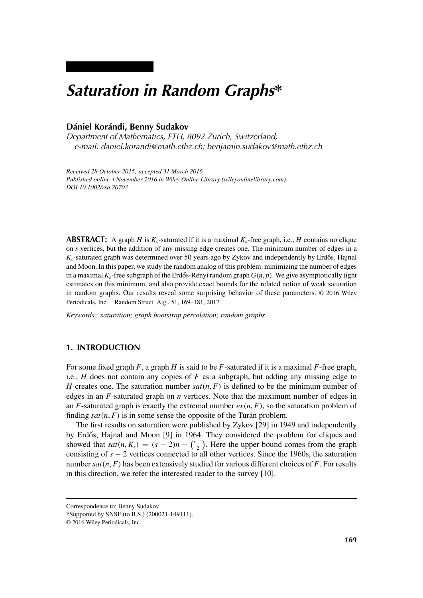# *Saturation in Random Graphs\**

# **Dániel Korándi, Benny Sudakov**

*Department of Mathematics, ETH, 8092 Zurich, Switzerland; e-mail: daniel.korandi@math.ethz.ch; benjamin.sudakov@math.ethz.ch*

*Received 28 October 2015; accepted 31 March 2016 Published online 4 November 2016 in Wiley Online Library (wileyonlinelibrary.com). DOI 10.1002/rsa.20703*

**ABSTRACT:** A graph *H* is  $K_s$ -saturated if it is a maximal  $K_s$ -free graph, i.e., *H* contains no clique on *s* vertices, but the addition of any missing edge creates one. The minimum number of edges in a  $K_s$ -saturated graph was determined over 50 years ago by Zykov and independently by Erdős, Hajnal and Moon. In this paper, we study the random analog of this problem: minimizing the number of edges in a maximal  $K_s$ -free subgraph of the Erdős-Rényi random graph  $G(n, p)$ . We give asymptotically tight estimates on this minimum, and also provide exact bounds for the related notion of weak saturation in random graphs. Our results reveal some surprising behavior of these parameters. © 2016 Wiley Periodicals, Inc. Random Struct. Alg., 51, 169–181, 2017

*Keywords: saturation; graph bootstrap percolation; random graphs*

# **1. INTRODUCTION**

For some fixed graph *F*, a graph *H* is said to be *F*-saturated if it is a maximal *F*-free graph, i.e., *H* does not contain any copies of *F* as a subgraph, but adding any missing edge to *H* creates one. The saturation number  $sat(n, F)$  is defined to be the minimum number of edges in an *F*-saturated graph on *n* vertices. Note that the maximum number of edges in an  $F$ -saturated graph is exactly the extremal number  $ex(n, F)$ , so the saturation problem of finding  $sat(n, F)$  is in some sense the opposite of the Turán problem.

The first results on saturation were published by Zykov [29] in 1949 and independently by Erdős, Hajnal and Moon [9] in 1964. They considered the problem for cliques and showed that  $sat(n, K_s) = (s - 2)n - {s-1 \choose 2}$  $\binom{-1}{2}$ . Here the upper bound comes from the graph consisting of *s* − 2 vertices connected to all other vertices. Since the 1960s, the saturation number *sat(n*, *F)* has been extensively studied for various different choices of *F*. For results in this direction, we refer the interested reader to the survey [10].

Correspondence to: Benny Sudakov

<sup>\*</sup>Supported by SNSF (to B.S.) (200021-149111).

<sup>© 2016</sup> Wiley Periodicals, Inc.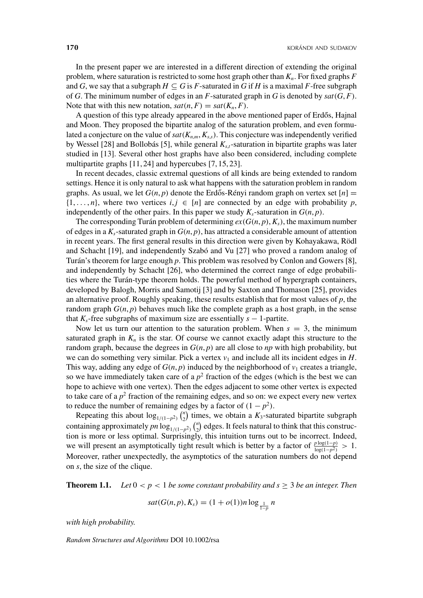In the present paper we are interested in a different direction of extending the original problem, where saturation is restricted to some host graph other than  $K_n$ . For fixed graphs  $F$ and *G*, we say that a subgraph  $H \subseteq G$  is *F*-saturated in *G* if *H* is a maximal *F*-free subgraph of *G*. The minimum number of edges in an *F*-saturated graph in *G* is denoted by *sat(G*, *F)*. Note that with this new notation,  $sat(n, F) = sat(K_n, F)$ .

A question of this type already appeared in the above mentioned paper of Erdős, Hajnal and Moon. They proposed the bipartite analog of the saturation problem, and even formulated a conjecture on the value of  $sat(K_{n,m}, K_{ss})$ . This conjecture was independently verified by Wessel [28] and Bollobás [5], while general *Ks*,*<sup>t</sup>*-saturation in bipartite graphs was later studied in [13]. Several other host graphs have also been considered, including complete multipartite graphs [11, 24] and hypercubes [7, 15, 23].

In recent decades, classic extremal questions of all kinds are being extended to random settings. Hence it is only natural to ask what happens with the saturation problem in random graphs. As usual, we let  $G(n, p)$  denote the Erdős-Rényi random graph on vertex set  $[n] =$  $\{1, \ldots, n\}$ , where two vertices  $i, j \in [n]$  are connected by an edge with probability p, independently of the other pairs. In this paper we study  $K_s$ -saturation in  $G(n, p)$ .

The corresponding Turán problem of determining  $ex(G(n, p), K_s)$ , the maximum number of edges in a  $K_s$ -saturated graph in  $G(n, p)$ , has attracted a considerable amount of attention in recent years. The first general results in this direction were given by Kohayakawa, Rödl and Schacht [19], and independently Szabó and Vu [27] who proved a random analog of Turán's theorem for large enough *p*. This problem was resolved by Conlon and Gowers [8], and independently by Schacht [26], who determined the correct range of edge probabilities where the Turán-type theorem holds. The powerful method of hypergraph containers, developed by Balogh, Morris and Samotij [3] and by Saxton and Thomason [25], provides an alternative proof. Roughly speaking, these results establish that for most values of *p*, the random graph  $G(n, p)$  behaves much like the complete graph as a host graph, in the sense that  $K_s$ -free subgraphs of maximum size are essentially  $s - 1$ -partite.

Now let us turn our attention to the saturation problem. When  $s = 3$ , the minimum saturated graph in  $K_n$  is the star. Of course we cannot exactly adapt this structure to the random graph, because the degrees in  $G(n, p)$  are all close to *np* with high probability, but we can do something very similar. Pick a vertex  $v_1$  and include all its incident edges in  $H$ . This way, adding any edge of  $G(n, p)$  induced by the neighborhood of  $v_1$  creates a triangle, so we have immediately taken care of a  $p<sup>2</sup>$  fraction of the edges (which is the best we can hope to achieve with one vertex). Then the edges adjacent to some other vertex is expected to take care of a  $p<sup>2</sup>$  fraction of the remaining edges, and so on: we expect every new vertex to reduce the number of remaining edges by a factor of  $(1 - p^2)$ .

Repeating this about  $\log_{1/(1-p^2)} \binom{n}{2}$  $n_{2}^{n}$ ) times, we obtain a  $K_{3}$ -saturated bipartite subgraph containing approximately *pn*  $\log_{1/(1-p^2)} \binom{n}{2}$  $n_2$ ) edges. It feels natural to think that this construction is more or less optimal. Surprisingly, this intuition turns out to be incorrect. Indeed, we will present an asymptotically tight result which is better by a factor of  $\frac{p \log(1-p)}{\log(1-p^2)} > 1$ . Moreover, rather unexpectedly, the asymptotics of the saturation numbers do not depend on *s*, the size of the clique.

**Theorem 1.1.** *Let*  $0 < p < 1$  *be some constant probability and s*  $\geq 3$  *be an integer. Then* 

$$
sat(G(n,p), K_s) = (1 + o(1))n \log_{\frac{1}{1-p}} n
$$

*with high probability.*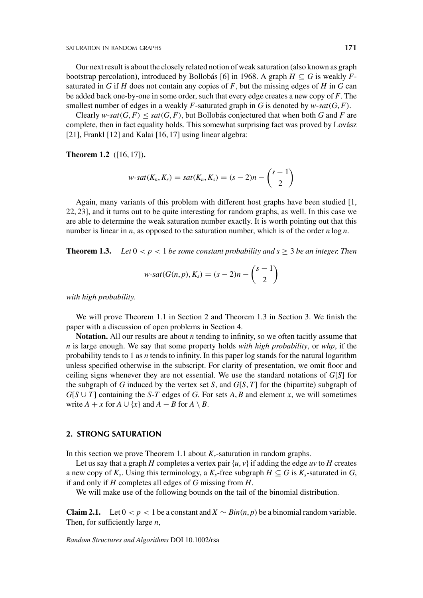Our next result is about the closely related notion of weak saturation (also known as graph bootstrap percolation), introduced by Bollobás [6] in 1968. A graph  $H \subseteq G$  is weakly  $F$ saturated in  $G$  if  $H$  does not contain any copies of  $F$ , but the missing edges of  $H$  in  $G$  can be added back one-by-one in some order, such that every edge creates a new copy of *F*. The smallest number of edges in a weakly  $F$ -saturated graph in  $G$  is denoted by  $w$ -sat $(G, F)$ .

Clearly  $w$ - $sat(G, F)$  <  $sat(G, F)$ , but Bollobás conjectured that when both *G* and *F* are complete, then in fact equality holds. This somewhat surprising fact was proved by Lovász [21], Frankl [12] and Kalai [16, 17] using linear algebra:

**Theorem 1.2** ([16, 17])**.**

$$
w\text{-}sat(K_n, K_s) = sat(K_n, K_s) = (s-2)n - {s-1 \choose 2}
$$

Again, many variants of this problem with different host graphs have been studied [1, 22, 23], and it turns out to be quite interesting for random graphs, as well. In this case we are able to determine the weak saturation number exactly. It is worth pointing out that this number is linear in *n*, as opposed to the saturation number, which is of the order *n* log *n*.

**Theorem 1.3.** *Let*  $0 < p < 1$  *be some constant probability and s*  $\geq 3$  *be an integer. Then* 

$$
w\text{-}sat(G(n,p),K_s)=(s-2)n-{s-1 \choose 2}
$$

*with high probability.*

We will prove Theorem 1.1 in Section 2 and Theorem 1.3 in Section 3. We finish the paper with a discussion of open problems in Section 4.

**Notation.** All our results are about *n* tending to infinity, so we often tacitly assume that *n* is large enough. We say that some property holds *with high probability*, or *whp*, if the probability tends to 1 as *n* tends to infinity. In this paper log stands for the natural logarithm unless specified otherwise in the subscript. For clarity of presentation, we omit floor and ceiling signs whenever they are not essential. We use the standard notations of *G*[*S*] for the subgraph of *G* induced by the vertex set *S*, and *G*[*S*, *T*] for the (bipartite) subgraph of  $G[S \cup T]$  containing the *S*-*T* edges of *G*. For sets *A*, *B* and element *x*, we will sometimes write  $A + x$  for  $A \cup \{x\}$  and  $A - B$  for  $A \setminus B$ .

## **2. STRONG SATURATION**

In this section we prove Theorem 1.1 about  $K_s$ -saturation in random graphs.

Let us say that a graph *H* completes a vertex pair  $\{u, v\}$  if adding the edge *uv* to *H* creates a new copy of  $K_s$ . Using this terminology, a  $K_s$ -free subgraph  $H \subseteq G$  is  $K_s$ -saturated in  $G$ , if and only if *H* completes all edges of *G* missing from *H*.

We will make use of the following bounds on the tail of the binomial distribution.

**Claim 2.1.** Let  $0 < p < 1$  be a constant and  $X \sim Bin(n, p)$  be a binomial random variable. Then, for sufficiently large *n*,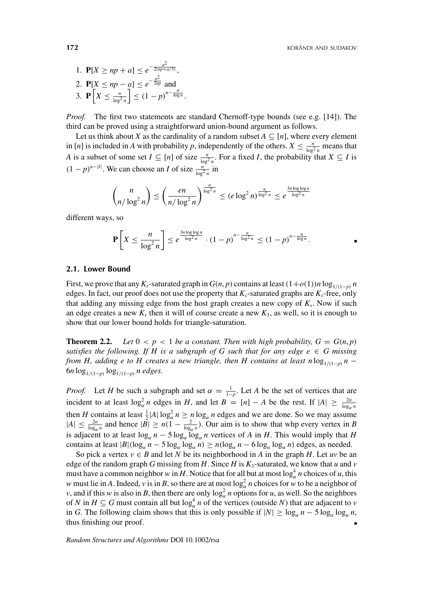1. 
$$
P[X \ge np + a] \le e^{-\frac{a^2}{2(np + a/3)}},
$$
  
\n2.  $P[X \le np - a] \le e^{-\frac{a^2}{2np}}$  and  
\n3.  $P[X \le \frac{n}{\log^2 n}] \le (1 - p)^{n - \frac{n}{\log n}}.$ 

*Proof.* The first two statements are standard Chernoff-type bounds (see e.g. [14]). The third can be proved using a straightforward union-bound argument as follows.

Let us think about *X* as the cardinality of a random subset  $A \subseteq [n]$ , where every element in [*n*] is included in *A* with probability *p*, independently of the others.  $X \le \frac{n}{\log^2 n}$  means that *A* is a subset of some set  $I \subseteq [n]$  of size  $\frac{n}{\log^2 n}$ . For a fixed *I*, the probability that  $X \subseteq I$  is  $(1 - p)^{n-|I|}$ . We can choose an *I* of size  $\frac{n}{\log^2 n}$  in

$$
\binom{n}{n/\log^2 n} \le \left(\frac{en}{n/\log^2 n}\right)^{\frac{n}{\log^2 n}} \le (e \log^2 n)^{\frac{n}{\log^2 n}} \le e^{\frac{3n \log \log n}{\log^2 n}}
$$

different ways, so

$$
\mathbf{P}\left[X \leq \frac{n}{\log^2 n}\right] \leq e^{\frac{3n \log \log n}{\log^2 n}} \cdot (1-p)^{n-\frac{n}{\log^2 n}} \leq (1-p)^{n-\frac{n}{\log n}}.
$$

#### **2.1. Lower Bound**

First, we prove that any  $K_s$ -saturated graph in  $G(n, p)$  contains at least  $(1+o(1))n \log_{1/(1-p)} n$ edges. In fact, our proof does not use the property that  $K_s$ -saturated graphs are  $K_s$ -free, only that adding any missing edge from the host graph creates a new copy of  $K<sub>s</sub>$ . Now if such an edge creates a new  $K_s$  then it will of course create a new  $K_3$ , as well, so it is enough to show that our lower bound holds for triangle-saturation.

**Theorem 2.2.** *Let*  $0 < p < 1$  *be a constant. Then with high probability,*  $G = G(n, p)$ *satisfies the following. If H is a subgraph of G such that for any edge e*  $\in$  *G missing from H, adding e to H creates a new triangle, then H contains at least n*  $\log_{1/(1-p)} n$  − 6*n*  $\log_{1/(1-p)} \log_{1/(1-p)} n$  *edges.* 

*Proof.* Let *H* be such a subgraph and set  $\alpha = \frac{1}{1-p}$ . Let *A* be the set of vertices that are incident to at least  $\log_{\alpha}^2 n$  edges in *H*, and let  $B = [n] - A$  be the rest. If  $|A| \ge \frac{2n}{\log_{\alpha} n}$ then *H* contains at least  $\frac{1}{2}$  |*A*|  $\log_{\alpha}^2 n \ge n \log_{\alpha} n$  edges and we are done. So we may assume  $|A| \leq \frac{2n}{\log_{\alpha} n}$  and hence  $|\overline{B}| \geq n(1 - \frac{2}{\log_{\alpha} n})$ . Our aim is to show that whp every vertex in *B* is adjacent to at least  $\log_{\alpha} n - 5 \log_{\alpha} \log_{\alpha} n$  vertices of *A* in *H*. This would imply that *H* contains at least  $|B|(\log_a n - 5 \log_a \log_a n) \ge n(\log_a n - 6 \log_a \log_a n)$  edges, as needed.

So pick a vertex  $v \in B$  and let *N* be its neighborhood in *A* in the graph *H*. Let *uv* be an edge of the random graph *G* missing from *H*. Since *H* is  $K_3$ -saturated, we know that *u* and *v* must have a common neighbor *w* in *H*. Notice that for all but at most  $\log_{\alpha}^4 n$  choices of *u*, this *w* must lie in *A*. Indeed, *v* is in *B*, so there are at most  $\log_{\alpha}^2 n$  choices for *w* to be a neighbor of *v*, and if this *w* is also in *B*, then there are only  $\log_{\alpha}^2 n$  options for *u*, as well. So the neighbors of *N* in  $H \subseteq G$  must contain all but  $\log_{\alpha}^4 n$  of the vertices (outside *N*) that are adjacent to *v* in *G*. The following claim shows that this is only possible if  $|N| \ge \log_{\alpha} n - 5 \log_{\alpha} \log_{\alpha} n$ , thus finishing our proof. Ē.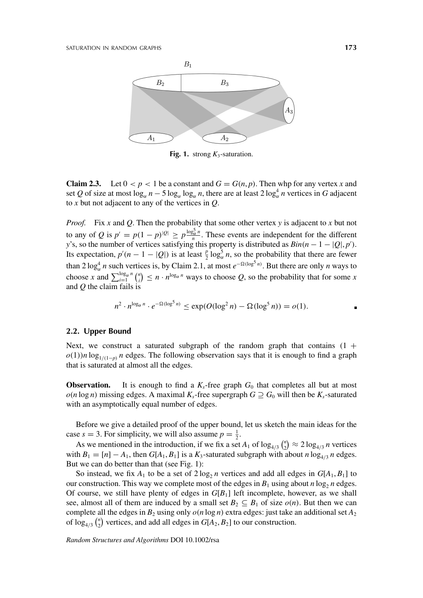

**Fig. 1.** strong *K*3-saturation.

**Claim 2.3.** Let  $0 < p < 1$  be a constant and  $G = G(n, p)$ . Then whp for any vertex *x* and set *Q* of size at most  $\log_{\alpha} n - 5 \log_{\alpha} \log_{\alpha} n$ , there are at least  $2 \log_{\alpha}^4 n$  vertices in *G* adjacent to *x* but not adjacent to any of the vertices in *Q*.

*Proof.* Fix *x* and *Q*. Then the probability that some other vertex *y* is adjacent to *x* but not to any of *Q* is  $p' = p(1-p)^{|Q|} \ge p^{\frac{\log_2^2 n}{n}}$ . These events are independent for the different *y*'s, so the number of vertices satisfying this property is distributed as  $Bin(n - 1 - |Q|, p')$ . Its expectation,  $p'(n-1-|Q|)$  is at least  $\frac{p}{2} \log_{\alpha}^{5} n$ , so the probability that there are fewer than  $2 \log_{\alpha}^4 n$  such vertices is, by Claim 2.1, at most  $e^{-\Omega(\log^5 n)}$ . But there are only *n* ways to choose *x* and  $\sum_{i=1}^{\log_{\alpha} n} \binom{n}{i}$  $\binom{n}{i} \leq n \cdot n^{\log_{\alpha} n}$  ways to choose *Q*, so the probability that for some *x* and *Q* the claim fails is

$$
n^2 \cdot n^{\log_{\alpha} n} \cdot e^{-\Omega(\log^5 n)} \le \exp(O(\log^2 n) - \Omega(\log^5 n)) = o(1).
$$

#### **2.2. Upper Bound**

Next, we construct a saturated subgraph of the random graph that contains  $(1 +$  $o(1)$ *n* log<sub>1/(1−*n*</sub>)</sub> *n* edges. The following observation says that it is enough to find a graph that is saturated at almost all the edges.

**Observation.** It is enough to find a  $K_s$ -free graph  $G_0$  that completes all but at most  $o(n \log n)$  missing edges. A maximal  $K_s$ -free supergraph  $G \supseteq G_0$  will then be  $K_s$ -saturated with an asymptotically equal number of edges.

Before we give a detailed proof of the upper bound, let us sketch the main ideas for the case  $s = 3$ . For simplicity, we will also assume  $p = \frac{1}{2}$ .

As we mentioned in the introduction, if we fix a set  $A_1$  of  $\log_{4/3} \binom{n}{2}$  $\binom{n}{2} \approx 2 \log_{4/3} n$  vertices with  $B_1 = [n] - A_1$ , then  $G[A_1, B_1]$  is a  $K_3$ -saturated subgraph with about *n* log<sub>4/3</sub> *n* edges. But we can do better than that (see Fig. 1):

So instead, we fix  $A_1$  to be a set of  $2 \log_2 n$  vertices and add all edges in  $G[A_1, B_1]$  to our construction. This way we complete most of the edges in  $B_1$  using about *n* log<sub>2</sub> *n* edges. Of course, we still have plenty of edges in *G*[*B*1] left incomplete, however, as we shall see, almost all of them are induced by a small set  $B_2 \subseteq B_1$  of size  $o(n)$ . But then we can complete all the edges in  $B_2$  using only  $o(n \log n)$  extra edges: just take an additional set  $A_2$ of  $\log_{4/3} \binom{n}{2}$  $C_2$ <sup>n</sup>) vertices, and add all edges in  $G[A_2, B_2]$  to our construction.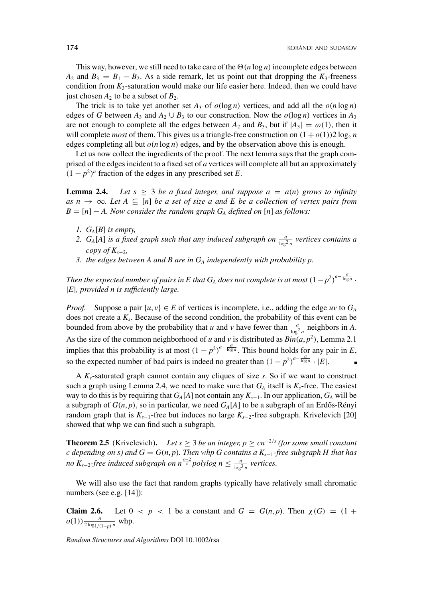This way, however, we still need to take care of the  $\Theta(n \log n)$  incomplete edges between  $A_2$  and  $B_3 = B_1 - B_2$ . As a side remark, let us point out that dropping the  $K_3$ -freeness condition from  $K_3$ -saturation would make our life easier here. Indeed, then we could have just chosen  $A_2$  to be a subset of  $B_2$ .

The trick is to take yet another set  $A_3$  of  $o(log n)$  vertices, and add all the  $o(n log n)$ edges of *G* between  $A_3$  and  $A_2 \cup B_3$  to our construction. Now the  $o(\log n)$  vertices in  $A_3$ are not enough to complete all the edges between  $A_2$  and  $B_3$ , but if  $|A_3| = \omega(1)$ , then it will complete *most* of them. This gives us a triangle-free construction on  $(1 + o(1))2 \log_2 n$ edges completing all but  $o(n \log n)$  edges, and by the observation above this is enough.

Let us now collect the ingredients of the proof. The next lemma says that the graph comprised of the edges incident to a fixed set of *a* vertices will complete all but an approximately  $(1 - p^2)^a$  fraction of the edges in any prescribed set *E*.

**Lemma 2.4.** Let  $s \geq 3$  be a fixed integer, and suppose  $a = a(n)$  grows to infinity *as n* → ∞*. Let*  $A ⊆ [n]$  *be a set of size a and E be a collection of vertex pairs from*  $B = [n] - A$ . Now consider the random graph  $G_A$  defined on [n] as follows:

- *1. GA*[*B*] *is empty,*
- 2.  $G_A[A]$  *is a fixed graph such that any induced subgraph on*  $\frac{a}{\log^2 a}$  *vertices contains a copy of K<sub>s−2</sub>*,
- *3. the edges between A and B are in GA independently with probability p.*

*Then the expected number of pairs in E that*  $G_A$  *does not complete is at most*  $\left(1-p^2\right)^{a-\frac{a}{\log a}}$  *.* |*E*|*, provided n is sufficiently large.*

*Proof.* Suppose a pair  $\{u, v\} \in E$  of vertices is incomplete, i.e., adding the edge *uv* to  $G_A$ does not create a  $K_s$ . Because of the second condition, the probability of this event can be bounded from above by the probability that *u* and *v* have fewer than  $\frac{a}{\log^2 a}$  neighbors in *A*. As the size of the common neighborhood of *u* and *v* is distributed as  $Bin(a, p^2)$ , Lemma 2.1 implies that this probability is at most  $(1 - p^2)^{a - \frac{a}{\log a}}$ . This bound holds for any pair in *E*, so the expected number of bad pairs is indeed no greater than  $(1 - p^2)^{a - \frac{a}{\log a}} \cdot |E|$ .

A  $K_s$ -saturated graph cannot contain any cliques of size  $s$ . So if we want to construct such a graph using Lemma 2.4, we need to make sure that  $G_A$  itself is  $K_s$ -free. The easiest way to do this is by requiring that  $G_A[A]$  not contain any  $K_{s-1}$ . In our application,  $G_A$  will be a subgraph of  $G(n, p)$ , so in particular, we need  $G_A[A]$  to be a subgraph of an Erdős-Rényi random graph that is  $K_{s-1}$ -free but induces no large  $K_{s-2}$ -free subgraph. Krivelevich [20] showed that whp we can find such a subgraph.

**Theorem 2.5** (Krivelevich). *Let s* ≥ 3 *be an integer, p* ≥  $cn^{-2/s}$  (for some small constant  $c$  depending on s) and  $G = G(n, p)$ *. Then whp G contains a*  $K_{s-1}$ -free subgraph H that has *no*  $K_{s-2}$ -free induced subgraph on  $n^{\frac{s-2}{s}}$  polylog  $n \leq \frac{n}{\log^3 n}$  vertices.

We will also use the fact that random graphs typically have relatively small chromatic numbers (see e.g. [14]):

**Claim 2.6.** Let  $0 < p < 1$  be a constant and  $G = G(n, p)$ . Then  $\chi(G) = (1 +$  $o(1)$ )  $\frac{n}{2 \log_1/(1-p)^n}$  whp.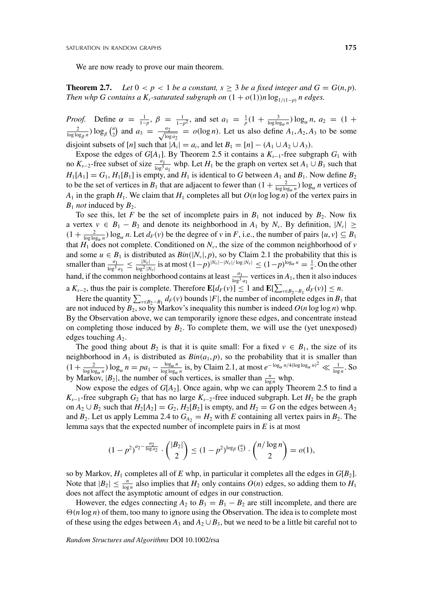We are now ready to prove our main theorem.

**Theorem 2.7.** *Let*  $0 < p < 1$  *be a constant, s*  $\geq 3$  *be a fixed integer and*  $G = G(n, p)$ *. Then whp G contains a K<sub>s</sub>-saturated subgraph on*  $(1 + o(1))n \log_{1/(1-p)} n$  edges.

*Proof.* Define  $\alpha = \frac{1}{1-p}$ ,  $\beta = \frac{1}{1-p^2}$ , and set  $a_1 = \frac{1}{p}(1 + \frac{3}{\log \log_a n}) \log_a n$ ,  $a_2 = (1 + \frac{2}{\log \log_b n}) \log_b {n \choose 2}$  and  $a_3 = \frac{a_2}{\sqrt{\log a_3}} = o(\log n)$ . Let us also define  $A_1, A_2, A_3$  to be some  $\sum_{n=2}^{\infty}$  and  $a_3 = \frac{a_2}{\sqrt{\log a_2}} = o(\log n)$ . Let us also define  $A_1, A_2, A_3$  to be some disjoint subsets of [*n*] such that  $|A_i| = a_i$ , and let  $B_1 = [n] - (A_1 \cup A_2 \cup A_3)$ .

Expose the edges of  $G[A_1]$ . By Theorem 2.5 it contains a  $K_{s-1}$ -free subgraph  $G_1$  with no  $K_{s-2}$ -free subset of size  $\frac{a_1}{\log^3 a_1}$  whp. Let *H*<sub>1</sub> be the graph on vertex set *A*<sub>1</sub> ∪ *B*<sub>1</sub> such that  $H_1[A_1] = G_1$ ,  $H_1[B_1]$  is empty, and  $H_1$  is identical to *G* between  $A_1$  and  $B_1$ . Now define  $B_2$ to be the set of vertices in  $B_1$  that are adjacent to fewer than  $(1 + \frac{2}{\log \log_a n}) \log_a n$  vertices of  $A_1$  in the graph  $H_1$ . We claim that  $H_1$  completes all but  $O(n \log \log n)$  of the vertex pairs in  $B_1$  *not* induced by  $B_2$ .

To see this, let *F* be the set of incomplete pairs in  $B_1$  not induced by  $B_2$ . Now fix a vertex  $v \in B_1 - B_2$  and denote its neighborhood in  $A_1$  by  $N_v$ . By definition,  $|N_v| \ge$  $(1 + \frac{2}{\log \log_a n}) \log_a n$ . Let  $d_F(v)$  be the degree of *v* in *F*, i.e., the number of pairs  $\{u, v\} \subseteq B_1$ that  $H_1$  does not complete. Conditioned on  $N_v$ , the size of the common neighborhood of *v* and some  $u \in B_1$  is distributed as  $Bin(|N_v|, p)$ , so by Claim 2.1 the probability that this is smaller than  $\frac{a_1}{\log^3 a_1} \le \frac{|N_v|}{\log^2 |N_v|}$  is at most  $(1-p)^{|N_v| - |N_v| / \log |N_v|} \le (1-p)^{\log_\alpha n} = \frac{1}{n}$ . On the other hand, if the common neighborhood contains at least  $\frac{a_1}{\log^3 a_1}$  vertices in  $A_1$ , then it also induces a  $K_{s-2}$ , thus the pair is complete. Therefore  $\mathbf{E}[d_F(v)] \leq 1$  and  $\mathbf{E}[\sum_{v \in B_2 - B_1} d_F(v)] \leq n$ .

Here the quantity  $\sum_{v \in B_2 - B_1} d_F(v)$  bounds |*F*|, the number of incomplete edges in *B*<sub>1</sub> that are not induced by  $B_2$ , so by Markov's inequality this number is indeed  $O(n \log \log n)$  whp. By the Observation above, we can temporarily ignore these edges, and concentrate instead on completing those induced by  $B_2$ . To complete them, we will use the (yet unexposed) edges touching  $A_2$ .

The good thing about  $B_2$  is that it is quite small: For a fixed  $v \in B_1$ , the size of its neighborhood in  $A_1$  is distributed as  $Bin(a_1, p)$ , so the probability that it is smaller than  $(1+\frac{2}{\log\log_\alpha n})\log_\alpha n = pa_1 - \frac{\log_\alpha n}{\log\log_\alpha n}$  is, by Claim 2.1, at most  $e^{-\log_\alpha n/4(\log\log_\alpha n)^2} \ll \frac{1}{\log n}$ . So by Markov,  $|B_2|$ , the number of such vertices, is smaller than  $\frac{n}{\log n}$  whp.

Now expose the edges of *G*[*A*2]. Once again, whp we can apply Theorem 2.5 to find a  $K_{s-1}$ -free subgraph  $G_2$  that has no large  $K_{s-2}$ -free induced subgraph. Let  $H_2$  be the graph on  $A_2 \cup B_2$  such that  $H_2[A_2] = G_2$ ,  $H_2[B_2]$  is empty, and  $H_2 = G$  on the edges between  $A_2$ and  $B_2$ . Let us apply Lemma 2.4 to  $G_{A_2} = H_2$  with *E* containing all vertex pairs in  $B_2$ . The lemma says that the expected number of incomplete pairs in *E* is at most

$$
(1-p^2)^{a_2 - \frac{a_2}{\log a_2}} \cdot \binom{|B_2|}{2} \le (1-p^2)^{\log_\beta \binom{n}{2}} \cdot \binom{n/\log n}{2} = o(1),
$$

so by Markov,  $H_1$  completes all of  $E$  whp, in particular it completes all the edges in  $G[B_2]$ . Note that  $|B_2| \leq \frac{n}{\log n}$  also implies that  $H_2$  only contains  $O(n)$  edges, so adding them to  $H_1$ does not affect the asymptotic amount of edges in our construction.

However, the edges connecting  $A_2$  to  $B_3 = B_1 - B_2$  are still incomplete, and there are  $\Theta(n \log n)$  of them, too many to ignore using the Observation. The idea is to complete most of these using the edges between  $A_3$  and  $A_2 \cup B_3$ , but we need to be a little bit careful not to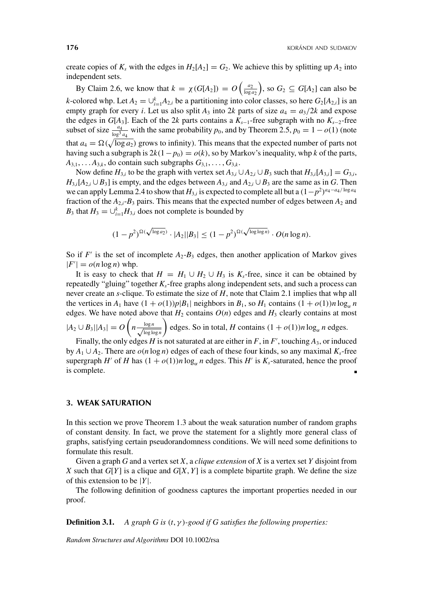create copies of  $K_s$  with the edges in  $H_2[A_2] = G_2$ . We achieve this by splitting up  $A_2$  into independent sets.

By Claim 2.6, we know that  $k = \chi(G[A_2]) = O\left(\frac{a_2}{\log a_2}\right)$ , so  $G_2 \subseteq G[A_2]$  can also be *k*-colored whp. Let  $A_2 = \bigcup_{i=1}^{k} A_{2,i}$  be a partitioning into color classes, so here  $G_2[A_{2,i}]$  is an empty graph for every *i*. Let us also split  $A_3$  into 2*k* parts of size  $a_4 = a_3/2k$  and expose the edges in *G*[ $A_3$ ]. Each of the 2*k* parts contains a  $K_{s-1}$ -free subgraph with no  $K_{s-2}$ -free subset of size  $\frac{a_4}{\log^3 a_4}$  with the same probability *p*<sub>0</sub>, and by Theorem 2.5, *p*<sub>0</sub> = 1 − *o*(1) (note that  $a_4 = \Omega(\sqrt{\log a_2})$  grows to infinity). This means that the expected number of parts not having such a subgraph is  $2k(1-p_0) = o(k)$ , so by Markov's inequality, whp *k* of the parts,  $A_{3,1}, \ldots, A_{3,k}$ , do contain such subgraphs  $G_{3,1}, \ldots, G_{3,k}$ .

Now define  $H_{3,i}$  to be the graph with vertex set  $A_{3,i} \cup A_{2,i} \cup B_3$  such that  $H_{3,i}[A_{3,i}] = G_{3,i}$ ,  $H_{3,i}[A_{2,i} \cup B_3]$  is empty, and the edges between  $A_{3,i}$  and  $A_{2,i} \cup B_3$  are the same as in *G*. Then we can apply Lemma 2.4 to show that  $H_{3,i}$  is expected to complete all but a  $(1-p^2)^{a_4-a_4/\log a_4}$ fraction of the  $A_{2,i}$ - $B_3$  pairs. This means that the expected number of edges between  $A_2$  and *B*<sub>3</sub> that  $H_3 = \bigcup_{i=1}^k H_{3,i}$  does not complete is bounded by

$$
(1-p^2)^{\Omega(\sqrt{\log a_2})} \cdot |A_2||B_3| \le (1-p^2)^{\Omega(\sqrt{\log \log n})} \cdot O(n \log n).
$$

So if  $F'$  is the set of incomplete  $A_2 - B_3$  edges, then another application of Markov gives  $|F'| = o(n \log n)$  whp.

It is easy to check that  $H = H_1 \cup H_2 \cup H_3$  is  $K_s$ -free, since it can be obtained by repeatedly "gluing" together  $K_s$ -free graphs along independent sets, and such a process can never create an *s*-clique. To estimate the size of *H*, note that Claim 2.1 implies that whp all the vertices in  $A_1$  have  $(1 + o(1))p|B_1|$  neighbors in  $B_1$ , so  $H_1$  contains  $(1 + o(1))n \log_a n$ edges. We have noted above that  $H_2$  contains  $O(n)$  edges and  $H_3$  clearly contains at most  $|A_2 \cup B_3| |A_3| = O\left(n \frac{\log n}{\sqrt{1-1}}\right)$ log log *n*  $\left( \int$  edges. So in total, *H* contains  $(1 + o(1))n \log_{\alpha} n$  edges.

Finally, the only edges *H* is not saturated at are either in *F*, in *F'*, touching  $A_3$ , or induced by  $A_1 \cup A_2$ . There are  $o(n \log n)$  edges of each of these four kinds, so any maximal  $K_s$ -free supergraph *H'* of *H* has  $(1 + o(1))n \log_{\alpha} n$  edges. This *H'* is  $K_s$ -saturated, hence the proof is complete.

## **3. WEAK SATURATION**

In this section we prove Theorem 1.3 about the weak saturation number of random graphs of constant density. In fact, we prove the statement for a slightly more general class of graphs, satisfying certain pseudorandomness conditions. We will need some definitions to formulate this result.

Given a graph *G* and a vertex set *X*, a *clique extension* of *X* is a vertex set *Y* disjoint from *X* such that  $G[Y]$  is a clique and  $G[X, Y]$  is a complete bipartite graph. We define the size of this extension to be |*Y*|.

The following definition of goodness captures the important properties needed in our proof.

**Definition 3.1.** *A graph G is (t*, *γ )-good if G satisfies the following properties:*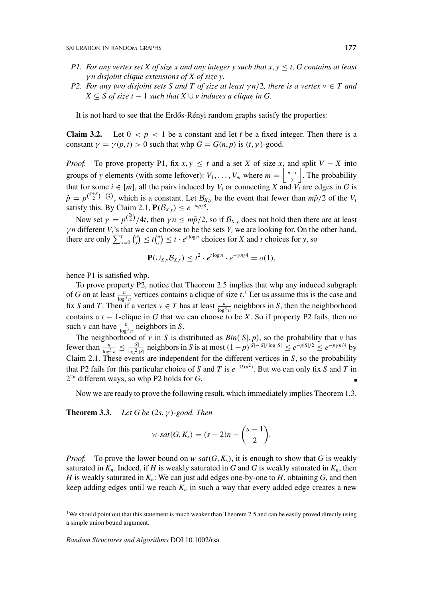- *P1. For any vertex set X of size x and any integer y such that*  $x, y \leq t$ *, G contains at least γ n disjoint clique extensions of X of size y.*
- *P2. For any two disjoint sets S and T of size at least*  $\gamma n/2$ *, there is a vertex*  $v \in T$  *and X* ⊆ *S of size t* − 1 *such that X* ∪ *v induces a clique in G.*

It is not hard to see that the Erdős-Rényi random graphs satisfy the properties:

**Claim 3.2.** Let  $0 < p < 1$  be a constant and let *t* be a fixed integer. Then there is a constant  $\gamma = \gamma(p, t) > 0$  such that whp  $G = G(n, p)$  is  $(t, \gamma)$ -good.

*Proof.* To prove property P1, fix  $x, y \leq t$  and a set *X* of size *x*, and split  $V - X$  into groups of *y* elements (with some leftover):  $V_1, \ldots, V_m$  where  $m = \left\lfloor \frac{n-x}{y} \right\rfloor$ . The probability that for some  $i \in [m]$ , all the pairs induced by  $V_i$  or connecting  $X$  and  $V_i$  are edges in  $G$  is  $\tilde{p} = p^{(\frac{y+x}{2})-(\frac{x}{2})}$ , which is a constant. Let  $B_{x,y}$  be the event that fewer than  $m\tilde{p}/2$  of the *V<sub>i</sub>* satisfy this. By Claim 2.1,  $P(B_{X,y}) \leq e^{-m\tilde{p}/8}$ .

Now set  $\gamma = p^{\binom{2t}{2}}/4t$ , then  $\gamma n \le m\tilde{p}/2$ , so if  $\mathcal{B}_{X,y}$  does not hold then there are at least *γn* different *V<sub>i</sub>*'s that we can choose to be the sets *Y<sub>i</sub>* we are looking for. On the other hand, there are only  $\sum_{x=0}^{t} \binom{n}{x}$  $\binom{n}{x} \leq t \binom{n}{t}$  $\binom{n}{t} \leq t \cdot e^{t \log n}$  choices for *X* and *t* choices for *y*, so

$$
\mathbf{P}(\cup_{X,y}\mathcal{B}_{X,y}) \leq t^2 \cdot e^{t \log n} \cdot e^{-\gamma n/4} = o(1),
$$

hence P1 is satisfied whp.

To prove property P2, notice that Theorem 2.5 implies that whp any induced subgraph of *G* on at least  $\frac{n}{\log^3 n}$  vertices contains a clique of size *t*.<sup>1</sup> Let us assume this is the case and fix *S* and *T*. Then if a vertex  $v \in T$  has at least  $\frac{n}{\log^3 n}$  neighbors in *S*, then the neighborhood contains a *t* − 1-clique in *G* that we can choose to be *X*. So if property P2 fails, then no such *v* can have  $\frac{n}{\log^3 n}$  neighbors in *S*.

The neighborhood of *v* in *S* is distributed as  $Bin(|S|, p)$ , so the probability that *v* has fewer than  $\frac{n}{\log^3 n} \le \frac{|S|}{\log^2 |S|}$  neighbors in S is at most  $(1-p)^{|S|-|S|/\log |S|} \le e^{-p|S|/2} \le e^{-p\gamma n/4}$  by Claim 2.1. These events are independent for the different vertices in *S*, so the probability that P2 fails for this particular choice of *S* and *T* is  $e^{-\Omega(n^2)}$ . But we can only fix *S* and *T* in 22*<sup>n</sup>* different ways, so whp P2 holds for *G*.

Now we are ready to prove the following result, which immediately implies Theorem 1.3.

**Theorem 3.3.** *Let G be (*2*s*, *γ )-good. Then*

$$
w\text{-}sat(G,K_s)=(s-2)n-\binom{s-1}{2}.
$$

*Proof.* To prove the lower bound on *w*-*sat*( $G$ , $K_s$ ), it is enough to show that  $G$  is weakly saturated in  $K_n$ . Indeed, if *H* is weakly saturated in *G* and *G* is weakly saturated in  $K_n$ , then *H* is weakly saturated in  $K_n$ : We can just add edges one-by-one to *H*, obtaining *G*, and then keep adding edges until we reach  $K_n$  in such a way that every added edge creates a new

<sup>&</sup>lt;sup>1</sup>We should point out that this statement is much weaker than Theorem 2.5 and can be easily proved directly using a simple union bound argument.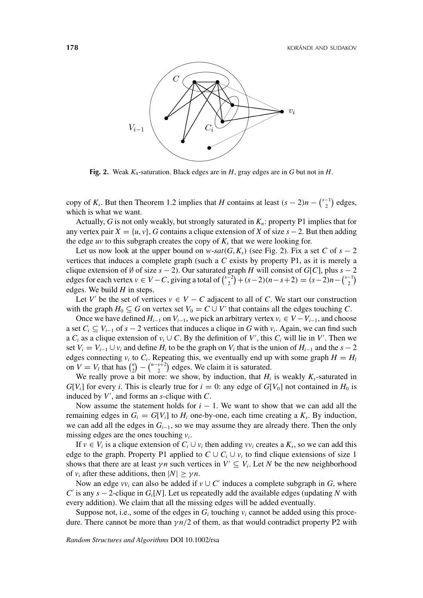

**Fig. 2.** Weak *K*4-saturation. Black edges are in *H*, gray edges are in *G* but not in *H*.

copy of  $K_s$ . But then Theorem 1.2 implies that *H* contains at least  $(s - 2)n - \binom{s-1}{2}$  $\binom{-1}{2}$  edges, which is what we want.

Actually, *G* is not only weakly, but strongly saturated in *Kn*: property P1 implies that for any vertex pair  $X = \{u, v\}$ , *G* contains a clique extension of *X* of size  $s - 2$ . But then adding the edge *uv* to this subgraph creates the copy of  $K<sub>s</sub>$  that we were looking for.

Let us now look at the upper bound on  $w$ -*sat*( $G$ , $K_s$ ) (see Fig. 2). Fix a set  $C$  of  $s - 2$ vertices that induces a complete graph (such a *C* exists by property P1, as it is merely a clique extension of Ø of size  $s - 2$ ). Our saturated graph *H* will consist of *G*[*C*], plus  $s - 2$ edges for each vertex  $v \in V - C$ , giving a total of  $\binom{s-2}{2}$  $\binom{z}{2} + (s-2)(n-s+2) = (s-2)n - \binom{s-1}{2}$  $\binom{-1}{2}$ edges. We build *H* in steps.

Let *V'* be the set of vertices  $v \in V - C$  adjacent to all of *C*. We start our construction with the graph  $H_0 \subseteq G$  on vertex set  $V_0 = C \cup V'$  that contains all the edges touching *C*.

Once we have defined  $H_{i-1}$  on  $V_{i-1}$ , we pick an arbitrary vertex  $v_i \in V - V_{i-1}$ , and choose a set  $C_i \subseteq V_{i-1}$  of  $s - 2$  vertices that induces a clique in *G* with  $v_i$ . Again, we can find such a  $C_i$  as a clique extension of  $v_i \cup C$ . By the definition of V', this  $C_i$  will lie in V'. Then we set  $V_i = V_{i-1} \cup v_i$  and define  $H_i$  to be the graph on  $V_i$  that is the union of  $H_{i-1}$  and the  $s-2$ edges connecting  $v_i$  to  $C_i$ . Repeating this, we eventually end up with some graph  $H = H_i$ on  $V = V_l$  that has  $\binom{n}{2}$  $\binom{n}{2} - \binom{n-s+2}{2}$  $\binom{s+2}{2}$  edges. We claim it is saturated.

We really prove a bit more: we show, by induction, that  $H_i$  is weakly  $K_s$ -saturated in  $G[V_i]$  for every *i*. This is clearly true for  $i = 0$ : any edge of  $G[V_0]$  not contained in  $H_0$  is induced by *V* , and forms an *s*-clique with *C*.

Now assume the statement holds for  $i - 1$ . We want to show that we can add all the remaining edges in  $G_i = G[V_i]$  to  $H_i$  one-by-one, each time creating a  $K_s$ . By induction, we can add all the edges in *Gi*−1, so we may assume they are already there. Then the only missing edges are the ones touching *vi*.

If  $v \in V_i$  is a clique extension of  $C_i \cup v_i$  then adding  $vv_i$  creates a  $K_s$ , so we can add this edge to the graph. Property P1 applied to  $C \cup C_i \cup v_i$  to find clique extensions of size 1 shows that there are at least  $\gamma n$  such vertices in  $V' \subseteq V_i$ . Let *N* be the new neighborhood of  $v_i$  after these additions, then  $|N| \ge \gamma n$ .

Now an edge  $vv_i$  can also be added if  $v \cup C'$  induces a complete subgraph in *G*, where *C* is any *s* − 2-clique in *Gi*[*N*]. Let us repeatedly add the available edges (updating *N* with every addition). We claim that all the missing edges will be added eventually.

Suppose not, i.e., some of the edges in  $G_i$  touching  $v_i$  cannot be added using this procedure. There cannot be more than *γ n/*2 of them, as that would contradict property P2 with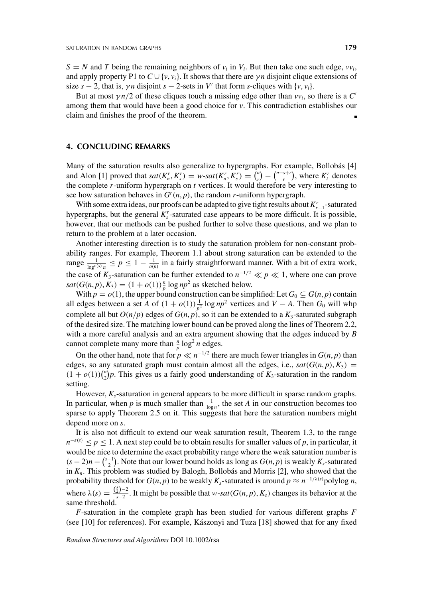$S = N$  and *T* being the remaining neighbors of  $v_i$  in  $V_i$ . But then take one such edge,  $vv_i$ , and apply property P1 to  $C \cup \{v, v_i\}$ . It shows that there are  $\gamma n$  disjoint clique extensions of size  $s - 2$ , that is,  $\gamma n$  disjoint  $s - 2$ -sets in *V'* that form *s*-cliques with  $\{v, v_i\}$ .

But at most  $\gamma n/2$  of these cliques touch a missing edge other than  $vv_i$ , so there is a C' among them that would have been a good choice for *v*. This contradiction establishes our claim and finishes the proof of the theorem.

## **4. CONCLUDING REMARKS**

Many of the saturation results also generalize to hypergraphs. For example, Bollobás [4] and Alon [1] proved that  $sat(K_n^r, K_s^r) = w\text{-}sat(K_n^r, K_s^r) = \binom{n}{r}$  $\binom{n}{r}$  –  $\binom{n-s+r}{r}$  $\binom{s+r}{r}$ , where  $K_t^r$  denotes the complete *r*-uniform hypergraph on *t* vertices. It would therefore be very interesting to see how saturation behaves in  $G^{r}(n, p)$ , the random *r*-uniform hypergraph.

With some extra ideas, our proofs can be adapted to give tight results about  $K_{r+1}^r$ -saturated hypergraphs, but the general  $K_s^r$ -saturated case appears to be more difficult. It is possible, however, that our methods can be pushed further to solve these questions, and we plan to return to the problem at a later occasion.

Another interesting direction is to study the saturation problem for non-constant probability ranges. For example, Theorem 1.1 about strong saturation can be extended to the range  $\frac{1}{\log^{e(s)} n} \le p \le 1 - \frac{1}{o(n)}$  in a fairly straightforward manner. With a bit of extra work, the case of  $K_3$ -saturation can be further extended to  $n^{-1/2} \ll p \ll 1$ , where one can prove  $sat(G(n, p), K_3) = (1 + o(1)) \frac{n}{p} \log np^2$  as sketched below.

With  $p = o(1)$ , the upper bound construction can be simplified: Let  $G_0 \subseteq G(n, p)$  contain all edges between a set *A* of  $(1 + o(1)) \frac{1}{p^2} \log np^2$  vertices and *V* − *A*. Then *G*<sub>0</sub> will whp complete all but  $O(n/p)$  edges of  $G(n, p)$ , so it can be extended to a  $K_3$ -saturated subgraph of the desired size. The matching lower bound can be proved along the lines of Theorem 2.2, with a more careful analysis and an extra argument showing that the edges induced by *B* cannot complete many more than  $\frac{n}{p} \log^2 n$  edges.

On the other hand, note that for  $p \ll n^{-1/2}$  there are much fewer triangles in  $G(n, p)$  than edges, so any saturated graph must contain almost all the edges, i.e.,  $sat(G(n, p), K_3)$  =  $(1 + o(1))\binom{n}{2}$  $\binom{n}{2}p$ . This gives us a fairly good understanding of  $K_3$ -saturation in the random setting.

However, *Ks*-saturation in general appears to be more difficult in sparse random graphs. In particular, when p is much smaller than  $\frac{1}{\log n}$ , the set A in our construction becomes too sparse to apply Theorem 2.5 on it. This suggests that here the saturation numbers might depend more on *s*.

It is also not difficult to extend our weak saturation result, Theorem 1.3, to the range  $n^{-\varepsilon(s)} \leq p \leq 1$ . A next step could be to obtain results for smaller values of *p*, in particular, it would be nice to determine the exact probability range where the weak saturation number is  $(s-2)n - \binom{s-1}{2}$  $\binom{1}{2}$ . Note that our lower bound holds as long as  $G(n, p)$  is weakly  $K_s$ -saturated in *Kn*. This problem was studied by Balogh, Bollobás and Morris [2], who showed that the probability threshold for  $G(n, p)$  to be weakly  $K_s$ -saturated is around  $p \approx n^{-1/\lambda(s)}$  polylog *n*, where  $\lambda(s) = \frac{\binom{s}{2}-2}{s-2}$ . It might be possible that *w*-*sat*(*G*(*n*, *p*), *K<sub>s</sub>*) changes its behavior at the same threshold.

*F*-saturation in the complete graph has been studied for various different graphs *F* (see [10] for references). For example, Kászonyi and Tuza [18] showed that for any fixed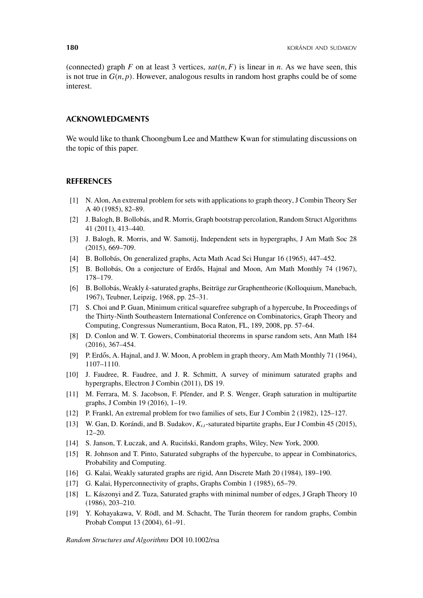(connected) graph *F* on at least 3 vertices,  $sat(n, F)$  is linear in *n*. As we have seen, this is not true in  $G(n, p)$ . However, analogous results in random host graphs could be of some interest.

## **ACKNOWLEDGMENTS**

We would like to thank Choongbum Lee and Matthew Kwan for stimulating discussions on the topic of this paper.

## **REFERENCES**

- [1] N. Alon, An extremal problem for sets with applications to graph theory, J Combin Theory Ser A 40 (1985), 82–89.
- [2] J. Balogh, B. Bollobás, and R. Morris, Graph bootstrap percolation, Random Struct Algorithms 41 (2011), 413–440.
- [3] J. Balogh, R. Morris, and W. Samotij, Independent sets in hypergraphs, J Am Math Soc 28 (2015), 669–709.
- [4] B. Bollobás, On generalized graphs, Acta Math Acad Sci Hungar 16 (1965), 447–452.
- [5] B. Bollobás, On a conjecture of Erdős, Hajnal and Moon, Am Math Monthly 74 (1967), 178–179.
- [6] B. Bollobás, Weakly *k*-saturated graphs, Beiträge zur Graphentheorie (Kolloquium, Manebach, 1967), Teubner, Leipzig, 1968, pp. 25–31.
- [7] S. Choi and P. Guan, Minimum critical squarefree subgraph of a hypercube, In Proceedings of the Thirty-Ninth Southeastern International Conference on Combinatorics, Graph Theory and Computing, Congressus Numerantium, Boca Raton, FL, 189, 2008, pp. 57–64.
- [8] D. Conlon and W. T. Gowers, Combinatorial theorems in sparse random sets, Ann Math 184 (2016), 367–454.
- [9] P. Erdős, A. Hajnal, and J. W. Moon, A problem in graph theory, Am Math Monthly 71 (1964), 1107–1110.
- [10] J. Faudree, R. Faudree, and J. R. Schmitt, A survey of minimum saturated graphs and hypergraphs, Electron J Combin (2011), DS 19.
- [11] M. Ferrara, M. S. Jacobson, F. Pfender, and P. S. Wenger, Graph saturation in multipartite graphs, J Combin 19 (2016), 1–19.
- [12] P. Frankl, An extremal problem for two families of sets, Eur J Combin 2 (1982), 125–127.
- [13] W. Gan, D. Korándi, and B. Sudakov, *Ks*,*<sup>t</sup>*-saturated bipartite graphs, Eur J Combin 45 (2015), 12–20.
- [14] S. Janson, T. Łuczak, and A. Ruciński, Random graphs, Wiley, New York, 2000.
- [15] R. Johnson and T. Pinto, Saturated subgraphs of the hypercube, to appear in Combinatorics, Probability and Computing.
- [16] G. Kalai, Weakly saturated graphs are rigid, Ann Discrete Math 20 (1984), 189–190.
- [17] G. Kalai, Hyperconnectivity of graphs, Graphs Combin 1 (1985), 65–79.
- [18] L. Kászonyi and Z. Tuza, Saturated graphs with minimal number of edges, J Graph Theory 10 (1986), 203–210.
- [19] Y. Kohayakawa, V. Rödl, and M. Schacht, The Turán theorem for random graphs, Combin Probab Comput 13 (2004), 61–91.